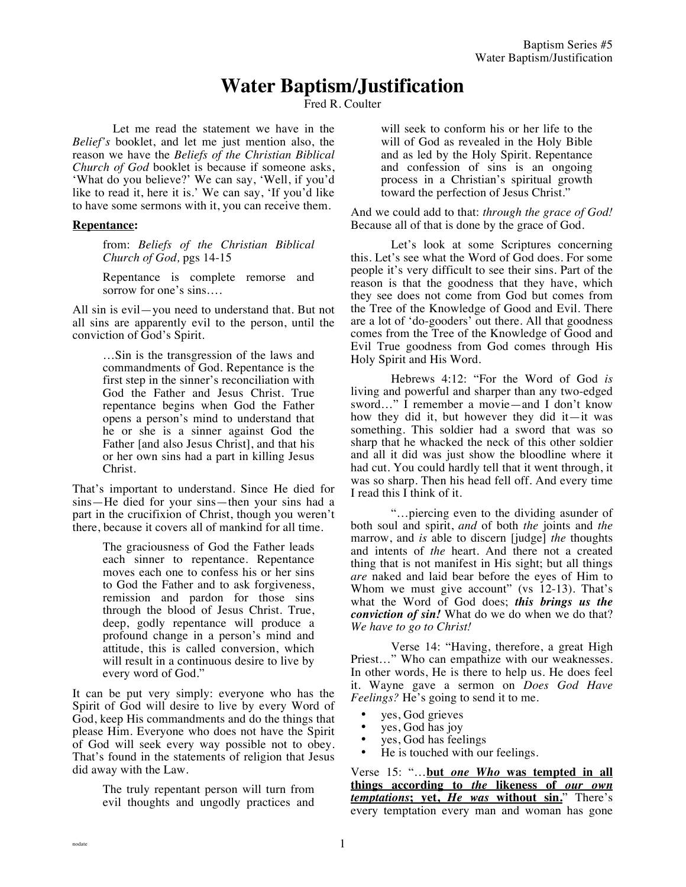# **Water Baptism/Justification**

Fred R. Coulter

Let me read the statement we have in the *Belief's* booklet, and let me just mention also, the reason we have the *Beliefs of the Christian Biblical Church of God* booklet is because if someone asks, 'What do you believe?' We can say, 'Well, if you'd like to read it, here it is.' We can say, 'If you'd like to have some sermons with it, you can receive them.

## **Repentance:**

from: *Beliefs of the Christian Biblical Church of God,* pgs 14-15

Repentance is complete remorse and sorrow for one's sins….

All sin is evil—you need to understand that. But not all sins are apparently evil to the person, until the conviction of God's Spirit.

> …Sin is the transgression of the laws and commandments of God. Repentance is the first step in the sinner's reconciliation with God the Father and Jesus Christ. True repentance begins when God the Father opens a person's mind to understand that he or she is a sinner against God the Father [and also Jesus Christ], and that his or her own sins had a part in killing Jesus Christ.

That's important to understand. Since He died for sins—He died for your sins—then your sins had a part in the crucifixion of Christ, though you weren't there, because it covers all of mankind for all time.

> The graciousness of God the Father leads each sinner to repentance. Repentance moves each one to confess his or her sins to God the Father and to ask forgiveness, remission and pardon for those sins through the blood of Jesus Christ. True, deep, godly repentance will produce a profound change in a person's mind and attitude, this is called conversion, which will result in a continuous desire to live by every word of God."

It can be put very simply: everyone who has the Spirit of God will desire to live by every Word of God, keep His commandments and do the things that please Him. Everyone who does not have the Spirit of God will seek every way possible not to obey. That's found in the statements of religion that Jesus did away with the Law.

> The truly repentant person will turn from evil thoughts and ungodly practices and

will seek to conform his or her life to the will of God as revealed in the Holy Bible and as led by the Holy Spirit. Repentance and confession of sins is an ongoing process in a Christian's spiritual growth toward the perfection of Jesus Christ."

And we could add to that: *through the grace of God!* Because all of that is done by the grace of God.

Let's look at some Scriptures concerning this. Let's see what the Word of God does. For some people it's very difficult to see their sins. Part of the reason is that the goodness that they have, which they see does not come from God but comes from the Tree of the Knowledge of Good and Evil. There are a lot of 'do-gooders' out there. All that goodness comes from the Tree of the Knowledge of Good and Evil True goodness from God comes through His Holy Spirit and His Word.

Hebrews 4:12: "For the Word of God *is* living and powerful and sharper than any two-edged sword…" I remember a movie—and I don't know how they did it, but however they did it—it was something. This soldier had a sword that was so sharp that he whacked the neck of this other soldier and all it did was just show the bloodline where it had cut. You could hardly tell that it went through, it was so sharp. Then his head fell off. And every time I read this I think of it.

"…piercing even to the dividing asunder of both soul and spirit, *and* of both *the* joints and *the*  marrow, and *is* able to discern [judge] *the* thoughts and intents of *the* heart. And there not a created thing that is not manifest in His sight; but all things *are* naked and laid bear before the eyes of Him to Whom we must give account" (vs 12-13). That's what the Word of God does; *this brings us the conviction of sin!* What do we do when we do that? *We have to go to Christ!* 

Verse 14: "Having, therefore, a great High Priest…" Who can empathize with our weaknesses. In other words, He is there to help us. He does feel it. Wayne gave a sermon on *Does God Have Feelings?* He's going to send it to me.

- yes, God grieves
- yes, God has joy<br>• yes, God has feel
- yes, God has feelings<br>• He is touched with ou
- He is touched with our feelings.

Verse 15: "…**but** *one Who* **was tempted in all things according to** *the* **likeness of** *our own temptations***; yet,** *He was* **without sin.**" There's every temptation every man and woman has gone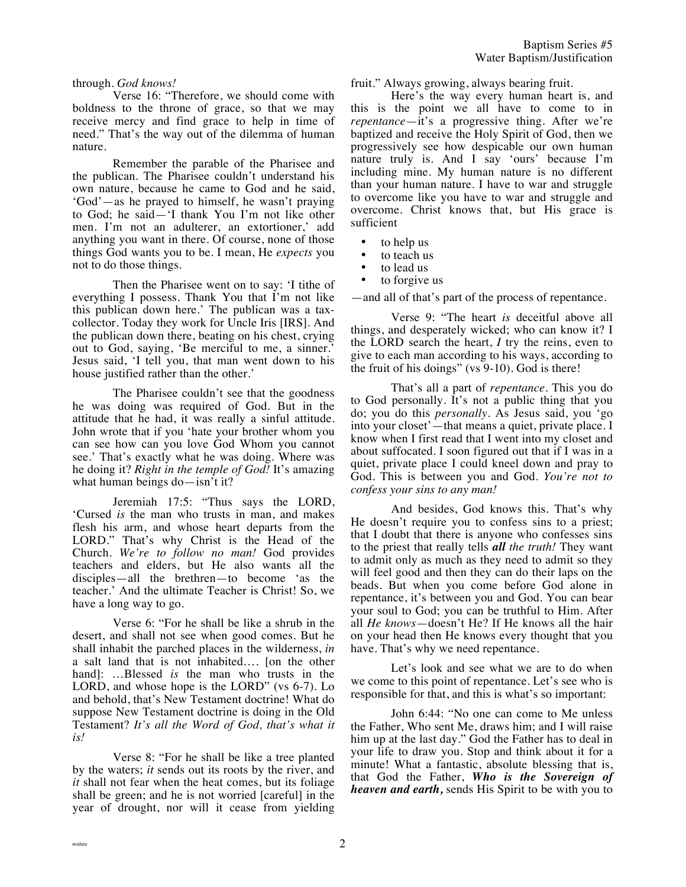## through. *God knows!*

Verse 16: "Therefore, we should come with boldness to the throne of grace, so that we may receive mercy and find grace to help in time of need." That's the way out of the dilemma of human nature.

Remember the parable of the Pharisee and the publican. The Pharisee couldn't understand his own nature, because he came to God and he said, 'God'—as he prayed to himself, he wasn't praying to God; he said—'I thank You I'm not like other men. I'm not an adulterer, an extortioner,' add anything you want in there. Of course, none of those things God wants you to be. I mean, He *expects* you not to do those things.

Then the Pharisee went on to say: 'I tithe of everything I possess. Thank You that I'm not like this publican down here.' The publican was a taxcollector. Today they work for Uncle Iris [IRS]. And the publican down there, beating on his chest, crying out to God, saying, 'Be merciful to me, a sinner.' Jesus said, 'I tell you, that man went down to his house justified rather than the other.'

The Pharisee couldn't see that the goodness he was doing was required of God. But in the attitude that he had, it was really a sinful attitude. John wrote that if you 'hate your brother whom you can see how can you love God Whom you cannot see.' That's exactly what he was doing. Where was he doing it? *Right in the temple of God!* It's amazing what human beings do—isn't it?

Jeremiah 17:5: "Thus says the LORD, 'Cursed *is* the man who trusts in man, and makes flesh his arm, and whose heart departs from the LORD." That's why Christ is the Head of the Church. *We're to follow no man!* God provides teachers and elders, but He also wants all the disciples—all the brethren—to become 'as the teacher.' And the ultimate Teacher is Christ! So, we have a long way to go.

Verse 6: "For he shall be like a shrub in the desert, and shall not see when good comes. But he shall inhabit the parched places in the wilderness, *in* a salt land that is not inhabited…. [on the other hand]: …Blessed *is* the man who trusts in the LORD, and whose hope is the LORD" (vs 6-7). Lo and behold, that's New Testament doctrine! What do suppose New Testament doctrine is doing in the Old Testament? *It's all the Word of God, that's what it is!* 

Verse 8: "For he shall be like a tree planted by the waters; *it* sends out its roots by the river, and *it* shall not fear when the heat comes, but its foliage shall be green; and he is not worried [careful] in the year of drought, nor will it cease from yielding fruit." Always growing, always bearing fruit.

Here's the way every human heart is, and this is the point we all have to come to in *repentance*—it's a progressive thing. After we're baptized and receive the Holy Spirit of God, then we progressively see how despicable our own human nature truly is. And I say 'ours' because I'm including mine. My human nature is no different than your human nature. I have to war and struggle to overcome like you have to war and struggle and overcome. Christ knows that, but His grace is sufficient

- to help us
- to teach us
- to lead us
- to forgive us

—and all of that's part of the process of repentance.

Verse 9: "The heart *is* deceitful above all things, and desperately wicked; who can know it? I the LORD search the heart, *I* try the reins, even to give to each man according to his ways, according to the fruit of his doings" (vs 9-10). God is there!

That's all a part of *repentance*. This you do to God personally. It's not a public thing that you do; you do this *personally*. As Jesus said, you 'go into your closet'—that means a quiet, private place. I know when I first read that I went into my closet and about suffocated. I soon figured out that if I was in a quiet, private place I could kneel down and pray to God. This is between you and God. *You're not to confess your sins to any man!*

And besides, God knows this. That's why He doesn't require you to confess sins to a priest; that I doubt that there is anyone who confesses sins to the priest that really tells *all the truth!* They want to admit only as much as they need to admit so they will feel good and then they can do their laps on the beads. But when you come before God alone in repentance, it's between you and God. You can bear your soul to God; you can be truthful to Him. After all *He knows*—doesn't He? If He knows all the hair on your head then He knows every thought that you have. That's why we need repentance.

Let's look and see what we are to do when we come to this point of repentance. Let's see who is responsible for that, and this is what's so important:

John 6:44: "No one can come to Me unless the Father, Who sent Me, draws him; and I will raise him up at the last day." God the Father has to deal in your life to draw you. Stop and think about it for a minute! What a fantastic, absolute blessing that is, that God the Father, *Who is the Sovereign of heaven and earth,* sends His Spirit to be with you to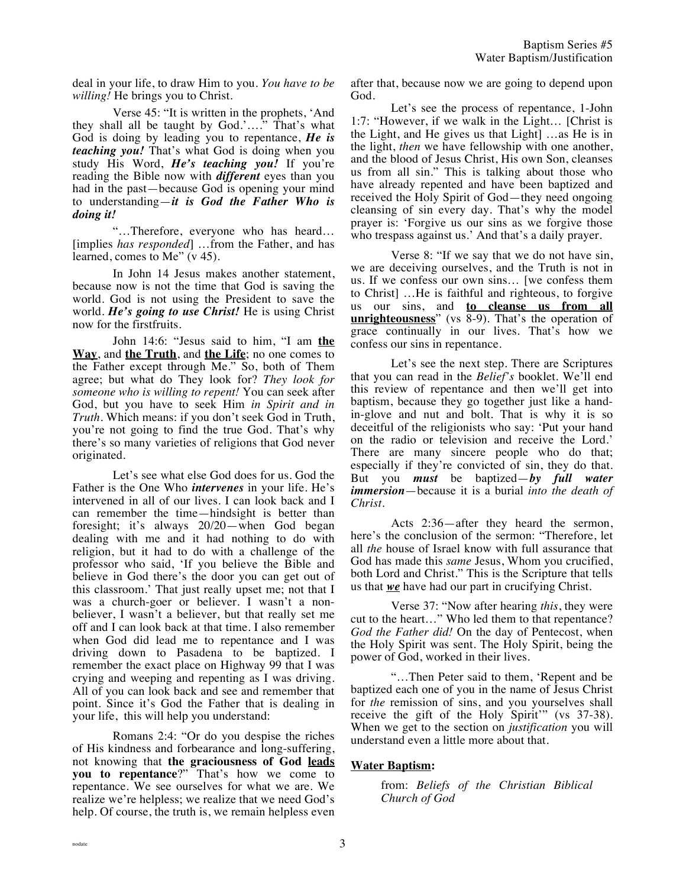deal in your life, to draw Him to you. *You have to be willing!* He brings you to Christ.

Verse 45: "It is written in the prophets, 'And they shall all be taught by God.'…." That's what God is doing by leading you to repentance, *He is teaching you!* That's what God is doing when you study His Word, *He's teaching you!* If you're reading the Bible now with *different* eyes than you had in the past—because God is opening your mind to understanding—*it is God the Father Who is doing it!*

"…Therefore, everyone who has heard… [implies *has responded*] …from the Father, and has learned, comes to Me" (v 45).

In John 14 Jesus makes another statement, because now is not the time that God is saving the world. God is not using the President to save the world. *He's going to use Christ!* He is using Christ now for the firstfruits.

John 14:6: "Jesus said to him, "I am **the Way**, and **the Truth**, and **the Life**; no one comes to the Father except through Me." So, both of Them agree; but what do They look for? *They look for someone who is willing to repent!* You can seek after God, but you have to seek Him *in Spirit and in Truth.* Which means: if you don't seek God in Truth, you're not going to find the true God. That's why there's so many varieties of religions that God never originated.

Let's see what else God does for us. God the Father is the One Who *intervenes* in your life. He's intervened in all of our lives. I can look back and I can remember the time—hindsight is better than foresight; it's always 20/20—when God began dealing with me and it had nothing to do with religion, but it had to do with a challenge of the professor who said, 'If you believe the Bible and believe in God there's the door you can get out of this classroom.' That just really upset me; not that I was a church-goer or believer. I wasn't a nonbeliever, I wasn't a believer, but that really set me off and I can look back at that time. I also remember when God did lead me to repentance and I was driving down to Pasadena to be baptized. I remember the exact place on Highway 99 that I was crying and weeping and repenting as I was driving. All of you can look back and see and remember that point. Since it's God the Father that is dealing in your life, this will help you understand:

Romans 2:4: "Or do you despise the riches of His kindness and forbearance and long-suffering, not knowing that **the graciousness of God leads you to repentance**?" That's how we come to repentance. We see ourselves for what we are. We realize we're helpless; we realize that we need God's help. Of course, the truth is, we remain helpless even

after that, because now we are going to depend upon God.

Let's see the process of repentance, 1-John 1:7: "However, if we walk in the Light… [Christ is the Light, and He gives us that Light] …as He is in the light, *then* we have fellowship with one another, and the blood of Jesus Christ, His own Son, cleanses us from all sin." This is talking about those who have already repented and have been baptized and received the Holy Spirit of God—they need ongoing cleansing of sin every day. That's why the model prayer is: 'Forgive us our sins as we forgive those who trespass against us.' And that's a daily prayer.

Verse 8: "If we say that we do not have sin, we are deceiving ourselves, and the Truth is not in us. If we confess our own sins… [we confess them to Christ] …He is faithful and righteous, to forgive us our sins, and **to cleanse us from all unrighteousness**" (vs 8-9). That's the operation of grace continually in our lives. That's how we confess our sins in repentance.

Let's see the next step. There are Scriptures that you can read in the *Belief's* booklet. We'll end this review of repentance and then we'll get into baptism, because they go together just like a handin-glove and nut and bolt. That is why it is so deceitful of the religionists who say: 'Put your hand on the radio or television and receive the Lord.' There are many sincere people who do that; especially if they're convicted of sin, they do that. But you *must* be baptized—*by full water immersion*—because it is a burial *into the death of Christ*.

Acts 2:36—after they heard the sermon, here's the conclusion of the sermon: "Therefore, let all *the* house of Israel know with full assurance that God has made this *same* Jesus, Whom you crucified, both Lord and Christ." This is the Scripture that tells us that *we* have had our part in crucifying Christ.

Verse 37: "Now after hearing *this*, they were cut to the heart…" Who led them to that repentance? *God the Father did!* On the day of Pentecost, when the Holy Spirit was sent. The Holy Spirit, being the power of God, worked in their lives.

"…Then Peter said to them, 'Repent and be baptized each one of you in the name of Jesus Christ for *the* remission of sins, and you yourselves shall receive the gift of the Holy Spirit" (vs 37-38). When we get to the section on *justification* you will understand even a little more about that.

# **Water Baptism:**

from: *Beliefs of the Christian Biblical Church of God*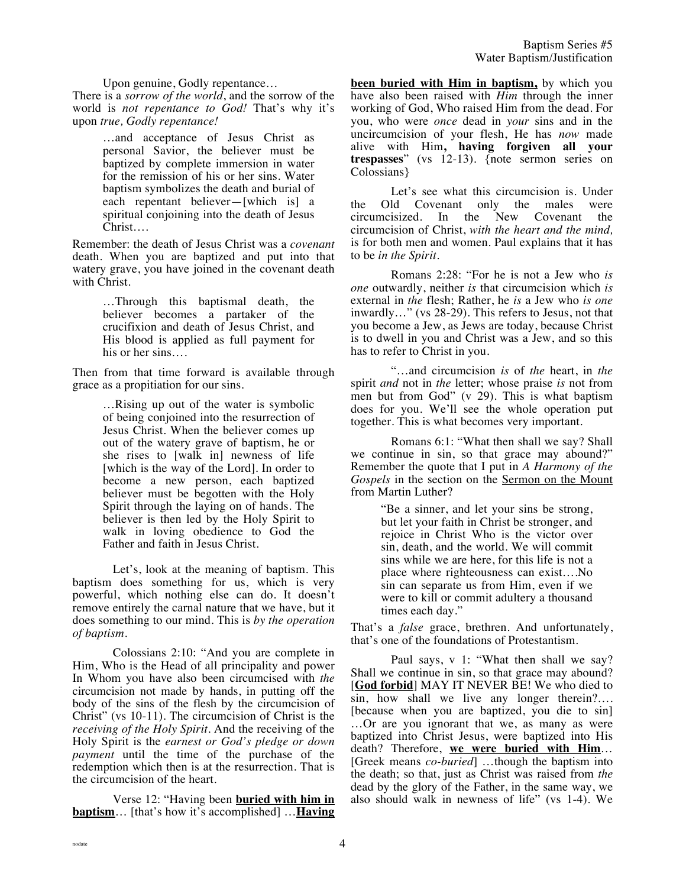Upon genuine, Godly repentance…

There is a *sorrow of the world*, and the sorrow of the world is *not repentance to God!* That's why it's upon *true, Godly repentance!*

> …and acceptance of Jesus Christ as personal Savior, the believer must be baptized by complete immersion in water for the remission of his or her sins. Water baptism symbolizes the death and burial of each repentant believer—[which is] a spiritual conjoining into the death of Jesus Christ….

Remember: the death of Jesus Christ was a *covenant*  death. When you are baptized and put into that watery grave, you have joined in the covenant death with Christ.

> …Through this baptismal death, the believer becomes a partaker of the crucifixion and death of Jesus Christ, and His blood is applied as full payment for his or her sins….

Then from that time forward is available through grace as a propitiation for our sins.

> …Rising up out of the water is symbolic of being conjoined into the resurrection of Jesus Christ. When the believer comes up out of the watery grave of baptism, he or she rises to [walk in] newness of life [which is the way of the Lord]. In order to become a new person, each baptized believer must be begotten with the Holy Spirit through the laying on of hands. The believer is then led by the Holy Spirit to walk in loving obedience to God the Father and faith in Jesus Christ.

Let's, look at the meaning of baptism. This baptism does something for us, which is very powerful, which nothing else can do. It doesn't remove entirely the carnal nature that we have, but it does something to our mind. This is *by the operation of baptism.* 

Colossians 2:10: "And you are complete in Him, Who is the Head of all principality and power In Whom you have also been circumcised with *the* circumcision not made by hands, in putting off the body of the sins of the flesh by the circumcision of Christ" (vs 10-11). The circumcision of Christ is the *receiving of the Holy Spirit.* And the receiving of the Holy Spirit is the *earnest or God's pledge or down payment* until the time of the purchase of the redemption which then is at the resurrection. That is the circumcision of the heart.

Verse 12: "Having been **buried with him in baptism**… [that's how it's accomplished] …**Having**  **been buried with Him in baptism,** by which you have also been raised with *Him* through the inner working of God, Who raised Him from the dead. For you, who were *once* dead in *your* sins and in the uncircumcision of your flesh, He has *now* made alive with Him**, having forgiven all your trespasses**" (vs 12-13). {note sermon series on Colossians}

Let's see what this circumcision is. Under the Old Covenant only the males were<br>circumcisized. In the New Covenant the circumcisized. In the New Covenant the circumcision of Christ, *with the heart and the mind,* is for both men and women. Paul explains that it has to be *in the Spirit.*

Romans 2:28: "For he is not a Jew who *is one* outwardly, neither *is* that circumcision which *is* external in *the* flesh; Rather, he *is* a Jew who *is one* inwardly…" (vs 28-29). This refers to Jesus, not that you become a Jew, as Jews are today, because Christ is to dwell in you and Christ was a Jew, and so this has to refer to Christ in you.

"…and circumcision *is* of *the* heart, in *the* spirit *and* not in *the* letter; whose praise *is* not from men but from God" (v 29). This is what baptism does for you. We'll see the whole operation put together. This is what becomes very important.

Romans 6:1: "What then shall we say? Shall we continue in sin, so that grace may abound?" Remember the quote that I put in *A Harmony of the Gospels* in the section on the Sermon on the Mount from Martin Luther?

> "Be a sinner, and let your sins be strong, but let your faith in Christ be stronger, and rejoice in Christ Who is the victor over sin, death, and the world. We will commit sins while we are here, for this life is not a place where righteousness can exist….No sin can separate us from Him, even if we were to kill or commit adultery a thousand times each day."

That's a *false* grace, brethren. And unfortunately, that's one of the foundations of Protestantism.

Paul says, v 1: "What then shall we say? Shall we continue in sin, so that grace may abound? [**God forbid**] MAY IT NEVER BE! We who died to sin, how shall we live any longer therein?…. [because when you are baptized, you die to sin] …Or are you ignorant that we, as many as were baptized into Christ Jesus, were baptized into His death? Therefore, **we were buried with Him**… [Greek means *co-buried*] …though the baptism into the death; so that, just as Christ was raised from *the* dead by the glory of the Father, in the same way, we also should walk in newness of life" (vs 1-4). We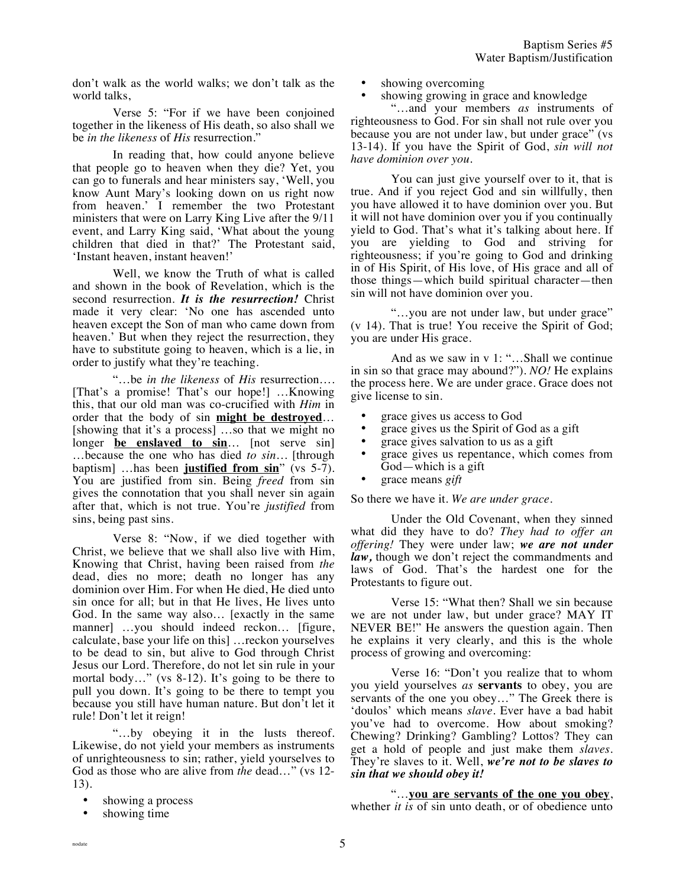don't walk as the world walks; we don't talk as the world talks,

Verse 5: "For if we have been conjoined together in the likeness of His death, so also shall we be *in the likeness* of *His* resurrection."

In reading that, how could anyone believe that people go to heaven when they die? Yet, you can go to funerals and hear ministers say, 'Well, you know Aunt Mary's looking down on us right now from heaven.' I remember the two Protestant ministers that were on Larry King Live after the 9/11 event, and Larry King said, 'What about the young children that died in that?' The Protestant said, 'Instant heaven, instant heaven!'

Well, we know the Truth of what is called and shown in the book of Revelation, which is the second resurrection. *It is the resurrection!* Christ made it very clear: 'No one has ascended unto heaven except the Son of man who came down from heaven.' But when they reject the resurrection, they have to substitute going to heaven, which is a lie, in order to justify what they're teaching.

"…be *in the likeness* of *His* resurrection…. [That's a promise! That's our hope!] …Knowing this, that our old man was co-crucified with *Him* in order that the body of sin **might be destroyed**… [showing that it's a process] …so that we might no longer **be enslaved to sin**… [not serve sin] …because the one who has died *to sin…* [through baptism] …has been **justified from sin**" (vs 5-7). You are justified from sin. Being *freed* from sin gives the connotation that you shall never sin again after that, which is not true. You're *justified* from sins, being past sins.

Verse 8: "Now, if we died together with Christ, we believe that we shall also live with Him, Knowing that Christ, having been raised from *the* dead, dies no more; death no longer has any dominion over Him. For when He died, He died unto sin once for all; but in that He lives, He lives unto God. In the same way also… [exactly in the same manner] …you should indeed reckon… [figure, calculate, base your life on this] …reckon yourselves to be dead to sin, but alive to God through Christ Jesus our Lord. Therefore, do not let sin rule in your mortal body…" (vs 8-12). It's going to be there to pull you down. It's going to be there to tempt you because you still have human nature. But don't let it rule! Don't let it reign!

"…by obeying it in the lusts thereof. Likewise, do not yield your members as instruments of unrighteousness to sin; rather, yield yourselves to God as those who are alive from *the* dead…" (vs 12- 13).

- showing a process
- showing time
- showing overcoming
- showing growing in grace and knowledge

"…and your members *as* instruments of righteousness to God. For sin shall not rule over you because you are not under law, but under grace" (vs 13-14). If you have the Spirit of God, *sin will not have dominion over you.*

You can just give yourself over to it, that is true. And if you reject God and sin willfully, then you have allowed it to have dominion over you. But it will not have dominion over you if you continually yield to God. That's what it's talking about here. If you are yielding to God and striving for righteousness; if you're going to God and drinking in of His Spirit, of His love, of His grace and all of those things—which build spiritual character—then sin will not have dominion over you.

"…you are not under law, but under grace" (v 14). That is true! You receive the Spirit of God; you are under His grace.

And as we saw in v 1: "...Shall we continue in sin so that grace may abound?"). *NO!* He explains the process here. We are under grace. Grace does not give license to sin.

- grace gives us access to God
- grace gives us the Spirit of God as a gift
- grace gives salvation to us as a gift
- grace gives us repentance, which comes from God—which is a gift
- grace means *gift*

So there we have it. *We are under grace.*

Under the Old Covenant, when they sinned what did they have to do? *They had to offer an offering!* They were under law; *we are not under law,* though we don't reject the commandments and laws of God. That's the hardest one for the Protestants to figure out.

Verse 15: "What then? Shall we sin because we are not under law, but under grace? MAY IT NEVER BE!" He answers the question again. Then he explains it very clearly, and this is the whole process of growing and overcoming:

Verse 16: "Don't you realize that to whom you yield yourselves *as* **servants** to obey, you are servants of the one you obey…" The Greek there is 'doulos' which means *slave.* Ever have a bad habit you've had to overcome. How about smoking? Chewing? Drinking? Gambling? Lottos? They can get a hold of people and just make them *slaves*. They're slaves to it. Well, *we're not to be slaves to sin that we should obey it!*

"…**you are servants of the one you obey**, whether *it is* of sin unto death, or of obedience unto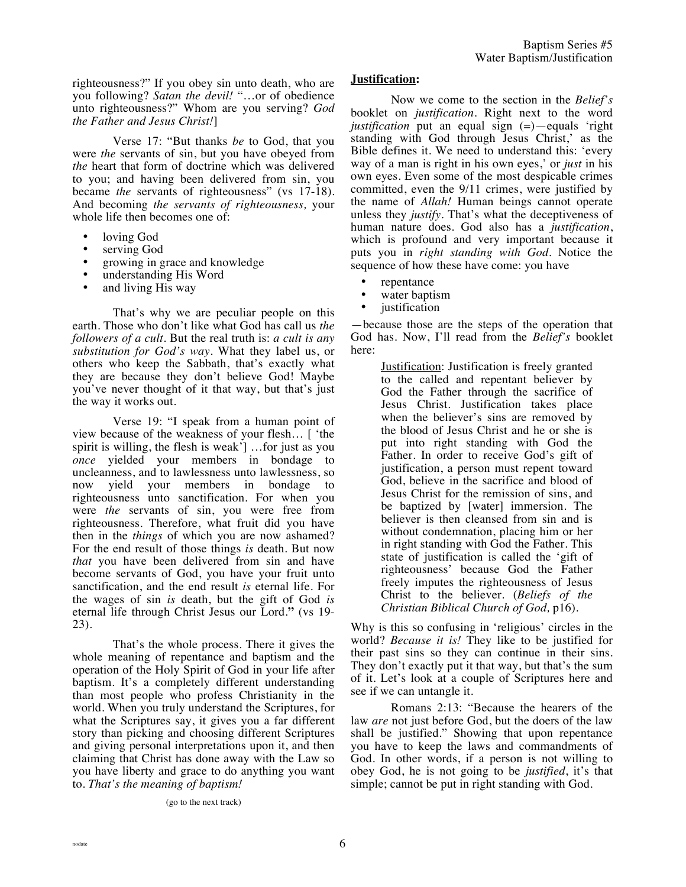righteousness?" If you obey sin unto death, who are you following? *Satan the devil!* "…or of obedience unto righteousness?" Whom are you serving? *God the Father and Jesus Christ!*]

Verse 17: "But thanks *be* to God, that you were *the* servants of sin, but you have obeyed from *the* heart that form of doctrine which was delivered to you; and having been delivered from sin, you became *the* servants of righteousness" (vs 17-18). And becoming *the servants of righteousness,* your whole life then becomes one of:

- loving God
- serving God
- growing in grace and knowledge
- understanding His Word
- and living His way

That's why we are peculiar people on this earth. Those who don't like what God has call us *the followers of a cult*. But the real truth is: *a cult is any substitution for God's way.* What they label us, or others who keep the Sabbath, that's exactly what they are because they don't believe God! Maybe you've never thought of it that way, but that's just the way it works out.

Verse 19: "I speak from a human point of view because of the weakness of your flesh… [ 'the spirit is willing, the flesh is weak'] …for just as you *once* yielded your members in bondage to uncleanness, and to lawlessness unto lawlessness, so now yield your members in bondage to righteousness unto sanctification. For when you were *the* servants of sin, you were free from righteousness. Therefore, what fruit did you have then in the *things* of which you are now ashamed? For the end result of those things *is* death. But now *that* you have been delivered from sin and have become servants of God, you have your fruit unto sanctification, and the end result *is* eternal life. For the wages of sin *is* death, but the gift of God *is* eternal life through Christ Jesus our Lord.**"** (vs 19- 23).

That's the whole process. There it gives the whole meaning of repentance and baptism and the operation of the Holy Spirit of God in your life after baptism. It's a completely different understanding than most people who profess Christianity in the world. When you truly understand the Scriptures, for what the Scriptures say, it gives you a far different story than picking and choosing different Scriptures and giving personal interpretations upon it, and then claiming that Christ has done away with the Law so you have liberty and grace to do anything you want to. *That's the meaning of baptism!*

(go to the next track)

#### **Justification:**

Now we come to the section in the *Belief's* booklet on *justification*. Right next to the word *justification* put an equal sign (=)—equals 'right standing with God through Jesus Christ,' as the Bible defines it. We need to understand this: 'every way of a man is right in his own eyes,' or *just* in his own eyes. Even some of the most despicable crimes committed, even the 9/11 crimes, were justified by the name of *Allah!* Human beings cannot operate unless they *justify*. That's what the deceptiveness of human nature does. God also has a *justification*, which is profound and very important because it puts you in *right standing with God.* Notice the sequence of how these have come: you have

- repentance
- water baptism
- justification

—because those are the steps of the operation that God has. Now, I'll read from the *Belief's* booklet here:

> Justification: Justification is freely granted to the called and repentant believer by God the Father through the sacrifice of Jesus Christ. Justification takes place when the believer's sins are removed by the blood of Jesus Christ and he or she is put into right standing with God the Father. In order to receive God's gift of justification, a person must repent toward God, believe in the sacrifice and blood of Jesus Christ for the remission of sins, and be baptized by [water] immersion. The believer is then cleansed from sin and is without condemnation, placing him or her in right standing with God the Father. This state of justification is called the 'gift of righteousness' because God the Father freely imputes the righteousness of Jesus Christ to the believer. (*Beliefs of the Christian Biblical Church of God,* p16).

Why is this so confusing in 'religious' circles in the world? *Because it is!* They like to be justified for their past sins so they can continue in their sins. They don't exactly put it that way, but that's the sum of it. Let's look at a couple of Scriptures here and see if we can untangle it.

Romans 2:13: "Because the hearers of the law *are* not just before God, but the doers of the law shall be justified." Showing that upon repentance you have to keep the laws and commandments of God. In other words, if a person is not willing to obey God, he is not going to be *justified*, it's that simple; cannot be put in right standing with God.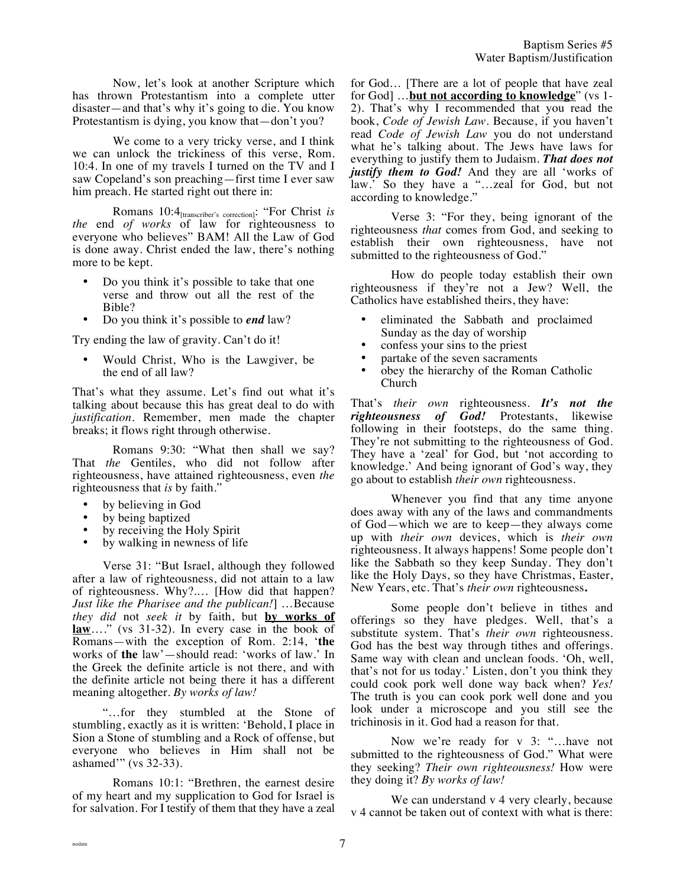Now, let's look at another Scripture which has thrown Protestantism into a complete utter disaster—and that's why it's going to die. You know Protestantism is dying, you know that—don't you?

We come to a very tricky verse, and I think we can unlock the trickiness of this verse, Rom. 10:4. In one of my travels I turned on the TV and I saw Copeland's son preaching—first time I ever saw him preach. He started right out there in:

Romans 10:4[transcriber's correction]: "For Christ *is the* end *of works* of law for righteousness to everyone who believes" BAM! All the Law of God is done away. Christ ended the law, there's nothing more to be kept.

- Do you think it's possible to take that one verse and throw out all the rest of the Bible?
- Do you think it's possible to *end* law?

Try ending the law of gravity. Can't do it!

• Would Christ, Who is the Lawgiver, be the end of all law?

That's what they assume. Let's find out what it's talking about because this has great deal to do with *justification*. Remember, men made the chapter breaks; it flows right through otherwise.

Romans 9:30: "What then shall we say? That *the* Gentiles, who did not follow after righteousness, have attained righteousness, even *the* righteousness that *is* by faith."

- by believing in God
- by being baptized
- by receiving the Holy Spirit
- by walking in newness of life

Verse 31: "But Israel, although they followed after a law of righteousness, did not attain to a law of righteousness. Why?.… [How did that happen? *Just like the Pharisee and the publican!*] …Because *they did* not *seek it* by faith, but **by works of law**…." (vs 31-32). In every case in the book of Romans—with the exception of Rom. 2:14, '**the** works of **the** law'—should read: 'works of law.' In the Greek the definite article is not there, and with the definite article not being there it has a different meaning altogether. *By works of law!*

"…for they stumbled at the Stone of stumbling, exactly as it is written: 'Behold, I place in Sion a Stone of stumbling and a Rock of offense, but everyone who believes in Him shall not be ashamed'" (vs 32-33).

Romans 10:1: "Brethren, the earnest desire of my heart and my supplication to God for Israel is for salvation. For I testify of them that they have a zeal for God… [There are a lot of people that have zeal for God] …**but not according to knowledge**" (vs 1- 2). That's why I recommended that you read the book, *Code of Jewish Law.* Because, if you haven't read *Code of Jewish Law* you do not understand what he's talking about. The Jews have laws for everything to justify them to Judaism. *That does not justify them to God!* And they are all 'works of law.' So they have a "…zeal for God, but not according to knowledge."

Verse 3: "For they, being ignorant of the righteousness *that* comes from God, and seeking to establish their own righteousness, have not submitted to the righteousness of God."

How do people today establish their own righteousness if they're not a Jew? Well, the Catholics have established theirs, they have:

- eliminated the Sabbath and proclaimed Sunday as the day of worship
- confess your sins to the priest
- partake of the seven sacraments
- obey the hierarchy of the Roman Catholic Church

That's *their own* righteousness. *It's not the righteousness of God!* Protestants, likewise following in their footsteps, do the same thing. They're not submitting to the righteousness of God. They have a 'zeal' for God, but 'not according to knowledge.' And being ignorant of God's way, they go about to establish *their own* righteousness.

Whenever you find that any time anyone does away with any of the laws and commandments of God—which we are to keep—they always come up with *their own* devices, which is *their own* righteousness. It always happens! Some people don't like the Sabbath so they keep Sunday. They don't like the Holy Days, so they have Christmas, Easter, New Years, etc. That's *their own* righteousness**.**

Some people don't believe in tithes and offerings so they have pledges. Well, that's a substitute system. That's *their own* righteousness. God has the best way through tithes and offerings. Same way with clean and unclean foods. 'Oh, well, that's not for us today.' Listen, don't you think they could cook pork well done way back when? *Yes!*  The truth is you can cook pork well done and you look under a microscope and you still see the trichinosis in it. God had a reason for that.

Now we're ready for v 3: "…have not submitted to the righteousness of God." What were they seeking? *Their own righteousness!* How were they doing it? *By works of law!*

We can understand v 4 very clearly, because v 4 cannot be taken out of context with what is there: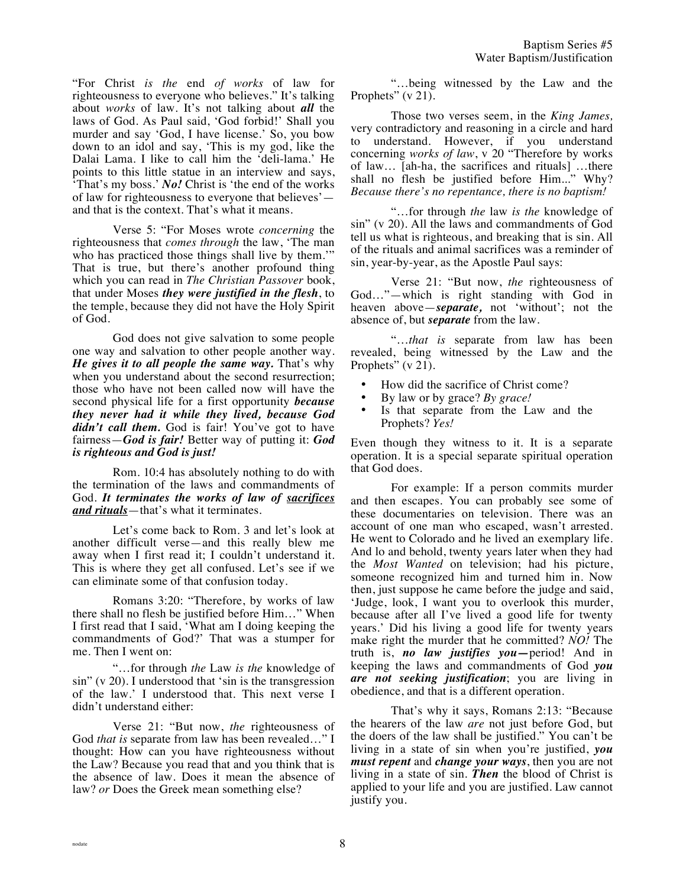"For Christ *is the* end *of works* of law for righteousness to everyone who believes." It's talking about *works* of law. It's not talking about *all* the laws of God. As Paul said, 'God forbid!' Shall you murder and say 'God, I have license.' So, you bow down to an idol and say, 'This is my god, like the Dalai Lama. I like to call him the 'deli-lama.' He points to this little statue in an interview and says, 'That's my boss.' *No!* Christ is 'the end of the works of law for righteousness to everyone that believes' and that is the context. That's what it means.

Verse 5: "For Moses wrote *concerning* the righteousness that *comes through* the law, 'The man who has practiced those things shall live by them." That is true, but there's another profound thing which you can read in *The Christian Passover* book, that under Moses *they were justified in the flesh*, to the temple, because they did not have the Holy Spirit of God.

God does not give salvation to some people one way and salvation to other people another way. *He gives it to all people the same way.* That's why when you understand about the second resurrection; those who have not been called now will have the second physical life for a first opportunity *because they never had it while they lived, because God*  didn't call them. God is fair! You've got to have fairness—*God is fair!* Better way of putting it: *God is righteous and God is just!*

Rom. 10:4 has absolutely nothing to do with the termination of the laws and commandments of God. *It terminates the works of law of sacrifices and rituals*—that's what it terminates.

Let's come back to Rom. 3 and let's look at another difficult verse—and this really blew me away when I first read it; I couldn't understand it. This is where they get all confused. Let's see if we can eliminate some of that confusion today.

Romans 3:20: "Therefore, by works of law there shall no flesh be justified before Him…" When I first read that I said, 'What am I doing keeping the commandments of God?' That was a stumper for me. Then I went on:

"…for through *the* Law *is the* knowledge of sin" (v 20). I understood that 'sin is the transgression of the law.' I understood that. This next verse I didn't understand either:

Verse 21: "But now, *the* righteousness of God *that is* separate from law has been revealed…" I thought: How can you have righteousness without the Law? Because you read that and you think that is the absence of law. Does it mean the absence of law? *or* Does the Greek mean something else?

"…being witnessed by the Law and the Prophets" (v 21).

Those two verses seem, in the *King James,* very contradictory and reasoning in a circle and hard to understand. However, if you understand concerning *works of law*, v 20 "Therefore by works of law… [ah-ha, the sacrifices and rituals] …there shall no flesh be justified before Him..." Why? *Because there's no repentance, there is no baptism!*

"…for through *the* law *is the* knowledge of sin" (v 20). All the laws and commandments of God tell us what is righteous, and breaking that is sin. All of the rituals and animal sacrifices was a reminder of sin, year-by-year, as the Apostle Paul says:

Verse 21: "But now, *the* righteousness of God…"—which is right standing with God in heaven above—*separate,* not 'without'; not the absence of, but *separate* from the law.

"…*that is* separate from law has been revealed, being witnessed by the Law and the Prophets" (v 21).

- How did the sacrifice of Christ come?
- By law or by grace? *By grace!*
- Is that separate from the Law and the Prophets? *Yes!*

Even though they witness to it. It is a separate operation. It is a special separate spiritual operation that God does.

For example: If a person commits murder and then escapes. You can probably see some of these documentaries on television. There was an account of one man who escaped, wasn't arrested. He went to Colorado and he lived an exemplary life. And lo and behold, twenty years later when they had the *Most Wanted* on television; had his picture, someone recognized him and turned him in. Now then, just suppose he came before the judge and said, 'Judge, look, I want you to overlook this murder, because after all I've lived a good life for twenty years.' Did his living a good life for twenty years make right the murder that he committed? *NO!* The truth is, *no law justifies you—*period! And in keeping the laws and commandments of God *you are not seeking justification*; you are living in obedience, and that is a different operation.

That's why it says, Romans 2:13: "Because the hearers of the law *are* not just before God, but the doers of the law shall be justified." You can't be living in a state of sin when you're justified, *you must repent* and *change your ways*, then you are not living in a state of sin. *Then* the blood of Christ is applied to your life and you are justified. Law cannot justify you.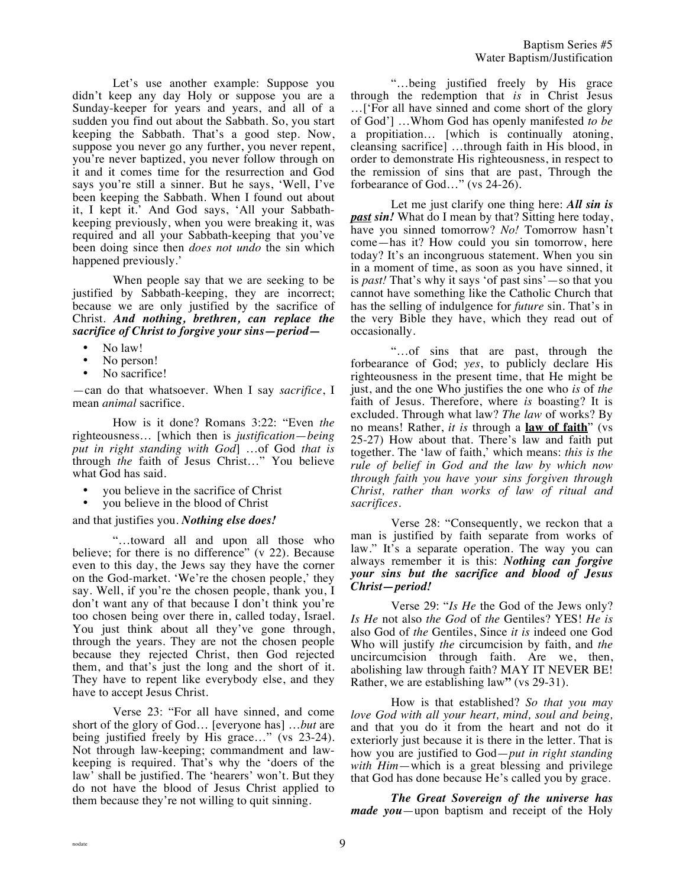Let's use another example: Suppose you didn't keep any day Holy or suppose you are a Sunday-keeper for years and years, and all of a sudden you find out about the Sabbath. So, you start keeping the Sabbath. That's a good step. Now, suppose you never go any further, you never repent, you're never baptized, you never follow through on it and it comes time for the resurrection and God says you're still a sinner. But he says, 'Well, I've been keeping the Sabbath. When I found out about it, I kept it.' And God says, 'All your Sabbathkeeping previously, when you were breaking it, was required and all your Sabbath-keeping that you've been doing since then *does not undo* the sin which happened previously.'

When people say that we are seeking to be justified by Sabbath-keeping, they are incorrect; because we are only justified by the sacrifice of Christ. *And nothing, brethren, can replace the sacrifice of Christ to forgive your sins—period—*

- No law!
- No person!
- No sacrifice!

—can do that whatsoever. When I say *sacrifice*, I mean *animal* sacrifice.

How is it done? Romans 3:22: "Even *the* righteousness… [which then is *justification*—*being put in right standing with God*] …of God *that is* through *the* faith of Jesus Christ…" You believe what God has said.

- you believe in the sacrifice of Christ
- you believe in the blood of Christ

# and that justifies you. *Nothing else does!*

"…toward all and upon all those who believe; for there is no difference" (v 22). Because even to this day, the Jews say they have the corner on the God-market. 'We're the chosen people,' they say. Well, if you're the chosen people, thank you, I don't want any of that because I don't think you're too chosen being over there in, called today, Israel. You just think about all they've gone through, through the years. They are not the chosen people because they rejected Christ, then God rejected them, and that's just the long and the short of it. They have to repent like everybody else, and they have to accept Jesus Christ.

Verse 23: "For all have sinned, and come short of the glory of God… [everyone has] …*but* are being justified freely by His grace…" (vs 23-24). Not through law-keeping; commandment and lawkeeping is required. That's why the 'doers of the law' shall be justified. The 'hearers' won't. But they do not have the blood of Jesus Christ applied to them because they're not willing to quit sinning.

"…being justified freely by His grace through the redemption that *is* in Christ Jesus …['For all have sinned and come short of the glory of God'] …Whom God has openly manifested *to be* a propitiation… [which is continually atoning, cleansing sacrifice] …through faith in His blood, in order to demonstrate His righteousness, in respect to the remission of sins that are past, Through the forbearance of God…" (vs 24-26).

Let me just clarify one thing here: *All sin is past sin!* What do I mean by that? Sitting here today, have you sinned tomorrow? *No!* Tomorrow hasn't come—has it? How could you sin tomorrow, here today? It's an incongruous statement. When you sin in a moment of time, as soon as you have sinned, it is *past!* That's why it says 'of past sins'—so that you cannot have something like the Catholic Church that has the selling of indulgence for *future* sin. That's in the very Bible they have, which they read out of occasionally.

"…of sins that are past, through the forbearance of God; *yes*, to publicly declare His righteousness in the present time, that He might be just, and the one Who justifies the one who *is* of *the* faith of Jesus. Therefore, where *is* boasting? It is excluded. Through what law? *The law* of works? By no means! Rather, *it is* through a **law of faith**" (vs 25-27) How about that. There's law and faith put together. The 'law of faith,' which means: *this is the rule of belief in God and the law by which now through faith you have your sins forgiven through Christ, rather than works of law of ritual and sacrifices.*

Verse 28: "Consequently, we reckon that a man is justified by faith separate from works of law." It's a separate operation. The way you can always remember it is this: *Nothing can forgive your sins but the sacrifice and blood of Jesus Christ—period!*

Verse 29: "*Is He* the God of the Jews only? *Is He* not also *the God* of *the* Gentiles? YES! *He is* also God of *the* Gentiles, Since *it is* indeed one God Who will justify *the* circumcision by faith, and *the* uncircumcision through faith. Are we, then, abolishing law through faith? MAY IT NEVER BE! Rather, we are establishing law**"** (vs 29-31).

How is that established? *So that you may love God with all your heart, mind, soul and being,* and that you do it from the heart and not do it exteriorly just because it is there in the letter. That is how you are justified to God—*put in right standing with Him*—which is a great blessing and privilege that God has done because He's called you by grace.

*The Great Sovereign of the universe has made you*—upon baptism and receipt of the Holy